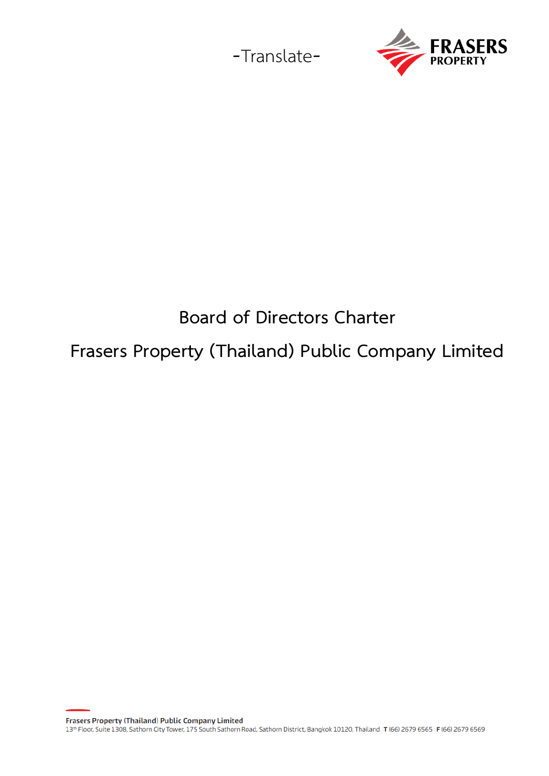



# **Board of Directors Charter Frasers Property (Thailand) Public Company Limited**

**Frasers Property (Thailand) Public Company Limited** 

13th Floor, Suite 1308, Sathorn City Tower, 175 South Sathorn Road, Sathorn District, Bangkok 10120, Thailand T (66) 2679 6565 F (66) 2679 6569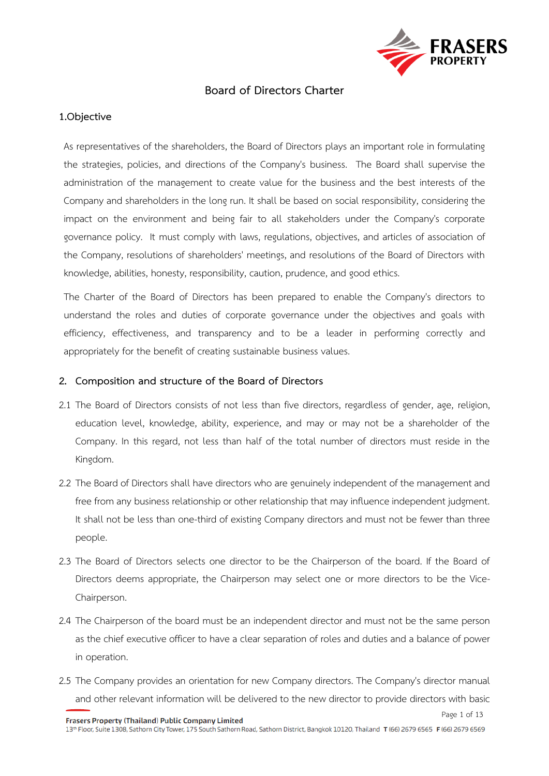

## **Board of Directors Charter**

## **1.Objective**

As representatives of the shareholders, the Board of Directors plays an important role in formulating the strategies, policies, and directions of the Company's business. The Board shall supervise the administration of the management to create value for the business and the best interests of the Company and shareholders in the long run. It shall be based on social responsibility, considering the impact on the environment and being fair to all stakeholders under the Company's corporate governance policy. It must comply with laws, regulations, objectives, and articles of association of the Company, resolutions of shareholders' meetings, and resolutions of the Board of Directors with knowledge, abilities, honesty, responsibility, caution, prudence, and good ethics.

The Charter of the Board of Directors has been prepared to enable the Company's directors to understand the roles and duties of corporate governance under the objectives and goals with efficiency, effectiveness, and transparency and to be a leader in performing correctly and appropriately for the benefit of creating sustainable business values.

#### **2. Composition and structure of the Board of Directors**

- 2.1 The Board of Directors consists of not less than five directors, regardless of gender, age, religion, education level, knowledge, ability, experience, and may or may not be a shareholder of the Company. In this regard, not less than half of the total number of directors must reside in the Kingdom.
- 2.2 The Board of Directors shall have directors who are genuinely independent of the management and free from any business relationship or other relationship that may influence independent judgment. It shall not be less than one-third of existing Company directors and must not be fewer than three people.
- 2.3 The Board of Directors selects one director to be the Chairperson of the board. If the Board of Directors deems appropriate, the Chairperson may select one or more directors to be the Vice-Chairperson.
- 2.4 The Chairperson of the board must be an independent director and must not be the same person as the chief executive officer to have a clear separation of roles and duties and a balance of power in operation.
- 2.5 The Company provides an orientation for new Company directors. The Company's director manual and other relevant information will be delivered to the new director to provide directors with basic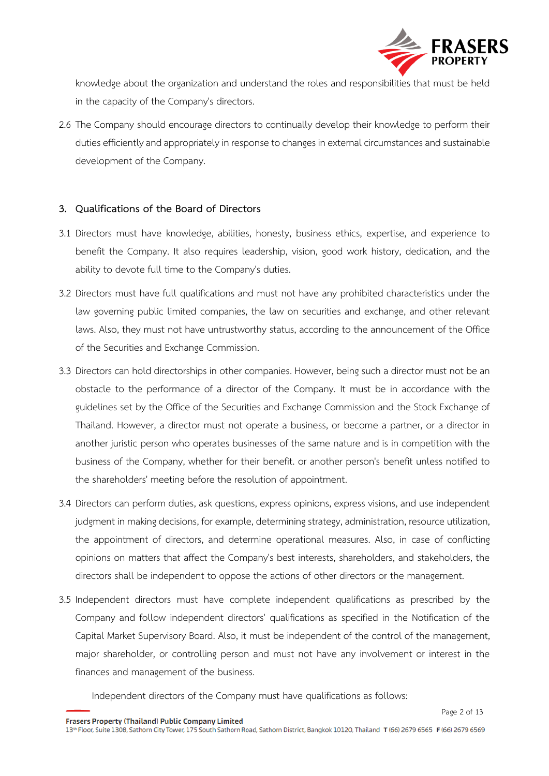

knowledge about the organization and understand the roles and responsibilities that must be held in the capacity of the Company's directors.

2.6 The Company should encourage directors to continually develop their knowledge to perform their duties efficiently and appropriately in response to changes in external circumstances and sustainable development of the Company.

## **3. Qualifications of the Board of Directors**

- 3.1 Directors must have knowledge, abilities, honesty, business ethics, expertise, and experience to benefit the Company. It also requires leadership, vision, good work history, dedication, and the ability to devote full time to the Company's duties.
- 3.2 Directors must have full qualifications and must not have any prohibited characteristics under the law governing public limited companies, the law on securities and exchange, and other relevant laws. Also, they must not have untrustworthy status, according to the announcement of the Office of the Securities and Exchange Commission.
- 3.3 Directors can hold directorships in other companies. However, being such a director must not be an obstacle to the performance of a director of the Company. It must be in accordance with the guidelines set by the Office of the Securities and Exchange Commission and the Stock Exchange of Thailand. However, a director must not operate a business, or become a partner, or a director in another juristic person who operates businesses of the same nature and is in competition with the business of the Company, whether for their benefit. or another person's benefit unless notified to the shareholders' meeting before the resolution of appointment.
- 3.4 Directors can perform duties, ask questions, express opinions, express visions, and use independent judgment in making decisions, for example, determining strategy, administration, resource utilization, the appointment of directors, and determine operational measures. Also, in case of conflicting opinions on matters that affect the Company's best interests, shareholders, and stakeholders, the directors shall be independent to oppose the actions of other directors or the management.
- 3.5 Independent directors must have complete independent qualifications as prescribed by the Company and follow independent directors' qualifications as specified in the Notification of the Capital Market Supervisory Board. Also, it must be independent of the control of the management, major shareholder, or controlling person and must not have any involvement or interest in the finances and management of the business.

Independent directors of the Company must have qualifications as follows:

Frasers Property (Thailand) Public Company Limited

13th Floor, Suite 1308, Sathorn City Tower, 175 South Sathorn Road, Sathorn District, Bangkok 10120, Thailand T (66) 2679 6565 F (66) 2679 6569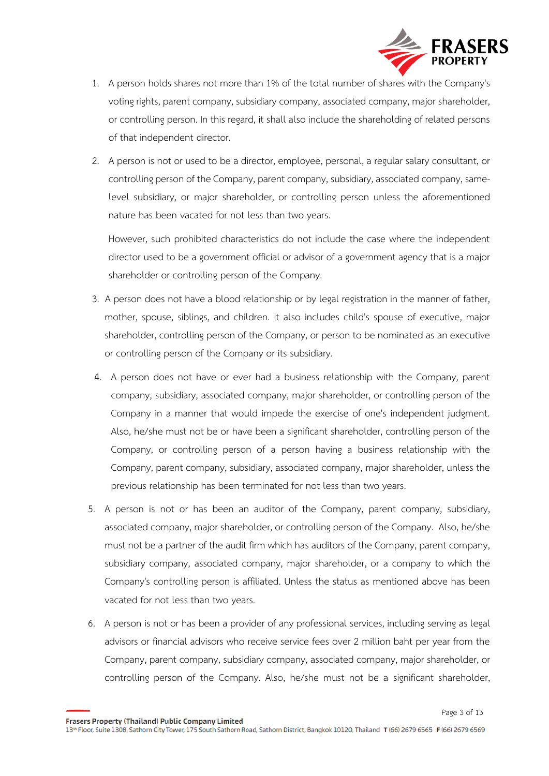

- 1. A person holds shares not more than 1% of the total number of shares with the Company's voting rights, parent company, subsidiary company, associated company, major shareholder, or controlling person. In this regard, it shall also include the shareholding of related persons of that independent director.
- 2. A person is not or used to be a director, employee, personal, a regular salary consultant, or controlling person of the Company, parent company, subsidiary, associated company, samelevel subsidiary, or major shareholder, or controlling person unless the aforementioned nature has been vacated for not less than two years.

However, such prohibited characteristics do not include the case where the independent director used to be a government official or advisor of a government agency that is a major shareholder or controlling person of the Company.

- 3. A person does not have a blood relationship or by legal registration in the manner of father, mother, spouse, siblings, and children. It also includes child's spouse of executive, major shareholder, controlling person of the Company, or person to be nominated as an executive or controlling person of the Company or its subsidiary.
- 4. A person does not have or ever had a business relationship with the Company, parent company, subsidiary, associated company, major shareholder, or controlling person of the Company in a manner that would impede the exercise of one's independent judgment. Also, he/she must not be or have been a significant shareholder, controlling person of the Company, or controlling person of a person having a business relationship with the Company, parent company, subsidiary, associated company, major shareholder, unless the previous relationship has been terminated for not less than two years.
- 5. A person is not or has been an auditor of the Company, parent company, subsidiary, associated company, major shareholder, or controlling person of the Company. Also, he/she must not be a partner of the audit firm which has auditors of the Company, parent company, subsidiary company, associated company, major shareholder, or a company to which the Company's controlling person is affiliated. Unless the status as mentioned above has been vacated for not less than two years.
- 6. A person is not or has been a provider of any professional services, including serving as legal advisors or financial advisors who receive service fees over 2 million baht per year from the Company, parent company, subsidiary company, associated company, major shareholder, or controlling person of the Company. Also, he/she must not be a significant shareholder,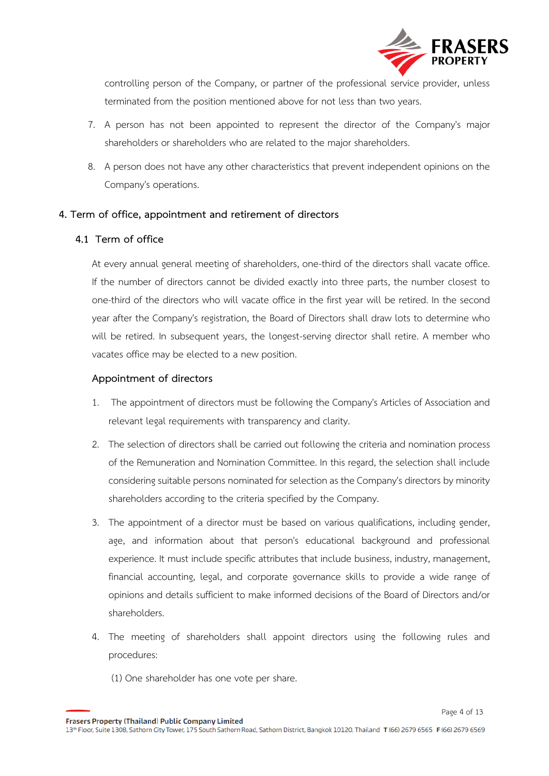

controlling person of the Company, or partner of the professional service provider, unless terminated from the position mentioned above for not less than two years.

- 7. A person has not been appointed to represent the director of the Company's major shareholders or shareholders who are related to the major shareholders.
- 8. A person does not have any other characteristics that prevent independent opinions on the Company's operations.

## **4. Term of office, appointment and retirement of directors**

## **4.1 Term of office**

At every annual general meeting of shareholders, one-third of the directors shall vacate office. If the number of directors cannot be divided exactly into three parts, the number closest to one-third of the directors who will vacate office in the first year will be retired. In the second year after the Company's registration, the Board of Directors shall draw lots to determine who will be retired. In subsequent years, the longest-serving director shall retire. A member who vacates office may be elected to a new position.

## **Appointment of directors**

- 1. The appointment of directors must be following the Company's Articles of Association and relevant legal requirements with transparency and clarity.
- 2. The selection of directors shall be carried out following the criteria and nomination process of the Remuneration and Nomination Committee. In this regard, the selection shall include considering suitable persons nominated for selection as the Company's directors by minority shareholders according to the criteria specified by the Company.
- 3. The appointment of a director must be based on various qualifications, including gender, age, and information about that person's educational background and professional experience. It must include specific attributes that include business, industry, management, financial accounting, legal, and corporate governance skills to provide a wide range of opinions and details sufficient to make informed decisions of the Board of Directors and/or shareholders.
- 4. The meeting of shareholders shall appoint directors using the following rules and procedures:
	- (1) One shareholder has one vote per share.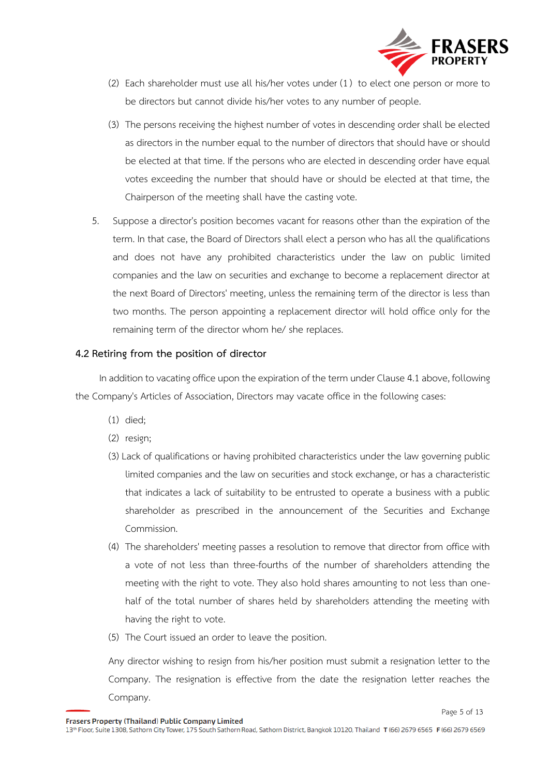

- (2) Each shareholder must use all his/her votes under (1) to elect one person or more to be directors but cannot divide his/her votes to any number of people.
- (3) The persons receiving the highest number of votes in descending order shall be elected as directors in the number equal to the number of directors that should have or should be elected at that time. If the persons who are elected in descending order have equal votes exceeding the number that should have or should be elected at that time, the Chairperson of the meeting shall have the casting vote.
- 5. Suppose a director's position becomes vacant for reasons other than the expiration of the term. In that case, the Board of Directors shall elect a person who has all the qualifications and does not have any prohibited characteristics under the law on public limited companies and the law on securities and exchange to become a replacement director at the next Board of Directors' meeting, unless the remaining term of the director is less than two months. The person appointing a replacement director will hold office only for the remaining term of the director whom he/ she replaces.

## **4.2 Retiring from the position of director**

 In addition to vacating office upon the expiration of the term under Clause 4.1 above, following the Company's Articles of Association, Directors may vacate office in the following cases:

- (1) died;
- (2) resign;
- (3) Lack of qualifications or having prohibited characteristics under the law governing public limited companies and the law on securities and stock exchange, or has a characteristic that indicates a lack of suitability to be entrusted to operate a business with a public shareholder as prescribed in the announcement of the Securities and Exchange Commission.
- (4) The shareholders' meeting passes a resolution to remove that director from office with a vote of not less than three-fourths of the number of shareholders attending the meeting with the right to vote. They also hold shares amounting to not less than onehalf of the total number of shares held by shareholders attending the meeting with having the right to vote.
- (5) The Court issued an order to leave the position.

Any director wishing to resign from his/her position must submit a resignation letter to the Company. The resignation is effective from the date the resignation letter reaches the Company.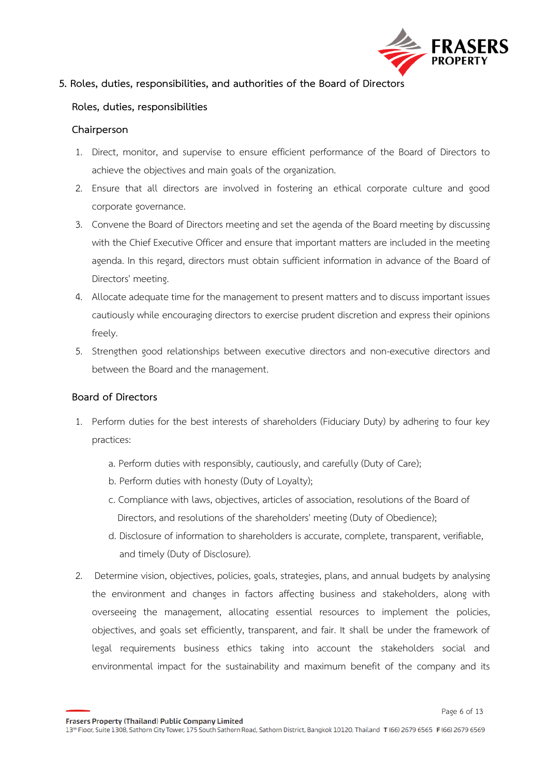

## **5. Roles, duties, responsibilities, and authorities of the Board of Directors**

## **Roles, duties, responsibilities**

#### **Chairperson**

- 1. Direct, monitor, and supervise to ensure efficient performance of the Board of Directors to achieve the objectives and main goals of the organization.
- 2. Ensure that all directors are involved in fostering an ethical corporate culture and good corporate governance.
- 3. Convene the Board of Directors meeting and set the agenda of the Board meeting by discussing with the Chief Executive Officer and ensure that important matters are included in the meeting agenda. In this regard, directors must obtain sufficient information in advance of the Board of Directors' meeting.
- 4. Allocate adequate time for the management to present matters and to discuss important issues cautiously while encouraging directors to exercise prudent discretion and express their opinions freely.
- 5. Strengthen good relationships between executive directors and non-executive directors and between the Board and the management.

## **Board of Directors**

- 1. Perform duties for the best interests of shareholders (Fiduciary Duty) by adhering to four key practices:
	- a. Perform duties with responsibly, cautiously, and carefully (Duty of Care);
	- b. Perform duties with honesty (Duty of Loyalty);
	- c. Compliance with laws, objectives, articles of association, resolutions of the Board of Directors, and resolutions of the shareholders' meeting (Duty of Obedience);
	- d. Disclosure of information to shareholders is accurate, complete, transparent, verifiable, and timely (Duty of Disclosure).
- 2. Determine vision, objectives, policies, goals, strategies, plans, and annual budgets by analysing the environment and changes in factors affecting business and stakeholders, along with overseeing the management, allocating essential resources to implement the policies, objectives, and goals set efficiently, transparent, and fair. It shall be under the framework of legal requirements business ethics taking into account the stakeholders social and environmental impact for the sustainability and maximum benefit of the company and its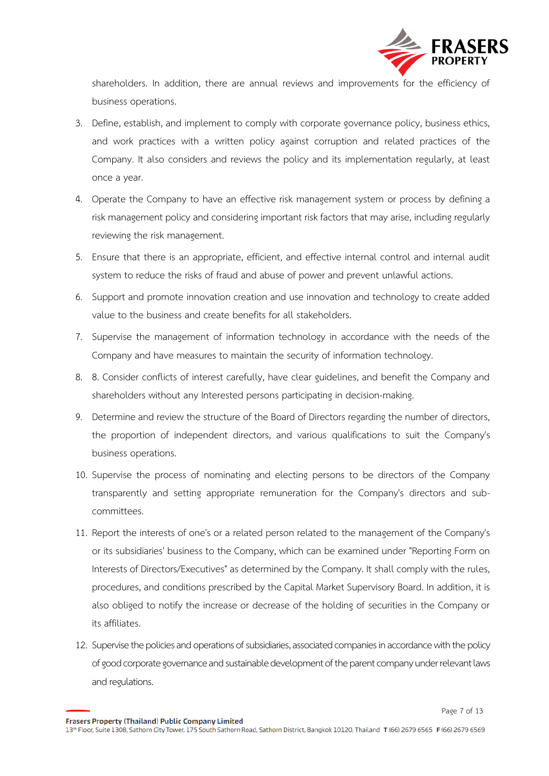

shareholders. In addition, there are annual reviews and improvements for the efficiency of business operations.

- 3. Define, establish, and implement to comply with corporate governance policy, business ethics, and work practices with a written policy against corruption and related practices of the Company. It also considers and reviews the policy and its implementation regularly, at least once a year.
- 4. Operate the Company to have an effective risk management system or process by defining a risk management policy and considering important risk factors that may arise, including regularly reviewing the risk management.
- 5. Ensure that there is an appropriate, efficient, and effective internal control and internal audit system to reduce the risks of fraud and abuse of power and prevent unlawful actions.
- 6. Support and promote innovation creation and use innovation and technology to create added value to the business and create benefits for all stakeholders.
- 7. Supervise the management of information technology in accordance with the needs of the Company and have measures to maintain the security of information technology.
- 8. 8. Consider conflicts of interest carefully, have clear guidelines, and benefit the Company and shareholders without any Interested persons participating in decision-making.
- 9. Determine and review the structure of the Board of Directors regarding the number of directors, the proportion of independent directors, and various qualifications to suit the Company's business operations.
- 10. Supervise the process of nominating and electing persons to be directors of the Company transparently and setting appropriate remuneration for the Company's directors and subcommittees.
- 11. Report the interests of one's or a related person related to the management of the Company's or its subsidiaries' business to the Company, which can be examined under "Reporting Form on Interests of Directors/Executives" as determined by the Company. It shall comply with the rules, procedures, and conditions prescribed by the Capital Market Supervisory Board. In addition, it is also obliged to notify the increase or decrease of the holding of securities in the Company or its affiliates.
- 12. Supervise the policies and operations of subsidiaries, associated companies in accordance with the policy of good corporate governance and sustainable development of the parent company under relevant laws and regulations.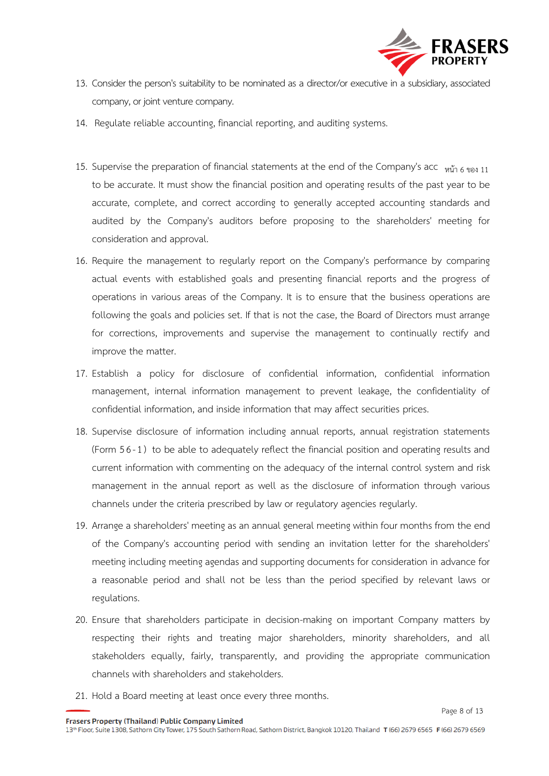

- 13. Consider the person's suitability to be nominated as a director/or executive in a subsidiary, associated company, or joint venture company.
- 14. Regulate reliable accounting, financial reporting, and auditing systems.
- 15. Supervise the preparation of financial statements at the end of the Company's acc  $w\ddot{u}$  6 ของ 11 to be accurate. It must show the financial position and operating results of the past year to be accurate, complete, and correct according to generally accepted accounting standards and audited by the Company's auditors before proposing to the shareholders' meeting for consideration and approval.
- 16. Require the management to regularly report on the Company's performance by comparing actual events with established goals and presenting financial reports and the progress of operations in various areas of the Company. It is to ensure that the business operations are following the goals and policies set. If that is not the case, the Board of Directors must arrange for corrections, improvements and supervise the management to continually rectify and improve the matter.
- 17. Establish a policy for disclosure of confidential information, confidential information management, internal information management to prevent leakage, the confidentiality of confidential information, and inside information that may affect securities prices.
- 18. Supervise disclosure of information including annual reports, annual registration statements (Form 5 6-1 ) to be able to adequately reflect the financial position and operating results and current information with commenting on the adequacy of the internal control system and risk management in the annual report as well as the disclosure of information through various channels under the criteria prescribed by law or regulatory agencies regularly.
- 19. Arrange a shareholders' meeting as an annual general meeting within four months from the end of the Company's accounting period with sending an invitation letter for the shareholders' meeting including meeting agendas and supporting documents for consideration in advance for a reasonable period and shall not be less than the period specified by relevant laws or regulations.
- 20. Ensure that shareholders participate in decision-making on important Company matters by respecting their rights and treating major shareholders, minority shareholders, and all stakeholders equally, fairly, transparently, and providing the appropriate communication channels with shareholders and stakeholders.
- 21. Hold a Board meeting at least once every three months.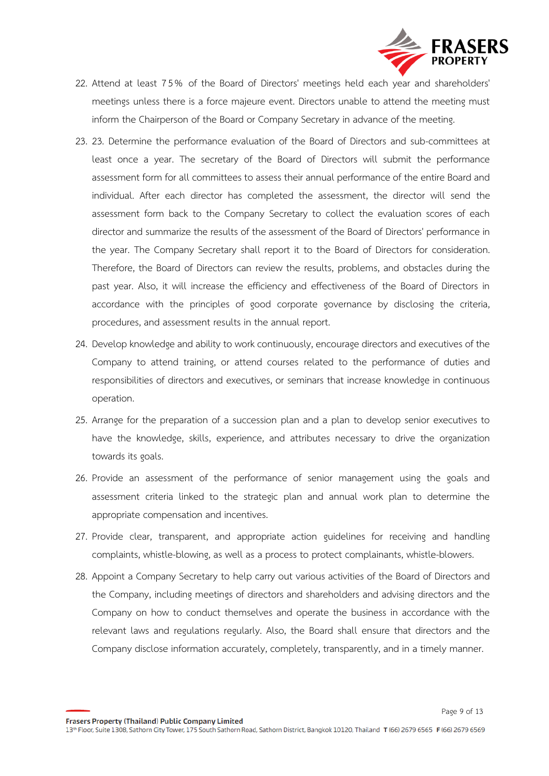

- 22. Attend at least 7 5 % of the Board of Directors' meetings held each year and shareholders' meetings unless there is a force majeure event. Directors unable to attend the meeting must inform the Chairperson of the Board or Company Secretary in advance of the meeting.
- 23. 23. Determine the performance evaluation of the Board of Directors and sub-committees at least once a year. The secretary of the Board of Directors will submit the performance assessment form for all committees to assess their annual performance of the entire Board and individual. After each director has completed the assessment, the director will send the assessment form back to the Company Secretary to collect the evaluation scores of each director and summarize the results of the assessment of the Board of Directors' performance in the year. The Company Secretary shall report it to the Board of Directors for consideration. Therefore, the Board of Directors can review the results, problems, and obstacles during the past year. Also, it will increase the efficiency and effectiveness of the Board of Directors in accordance with the principles of good corporate governance by disclosing the criteria, procedures, and assessment results in the annual report.
- 24. Develop knowledge and ability to work continuously, encourage directors and executives of the Company to attend training, or attend courses related to the performance of duties and responsibilities of directors and executives, or seminars that increase knowledge in continuous operation.
- 25. Arrange for the preparation of a succession plan and a plan to develop senior executives to have the knowledge, skills, experience, and attributes necessary to drive the organization towards its goals.
- 26. Provide an assessment of the performance of senior management using the goals and assessment criteria linked to the strategic plan and annual work plan to determine the appropriate compensation and incentives.
- 27. Provide clear, transparent, and appropriate action guidelines for receiving and handling complaints, whistle-blowing, as well as a process to protect complainants, whistle-blowers.
- 28. Appoint a Company Secretary to help carry out various activities of the Board of Directors and the Company, including meetings of directors and shareholders and advising directors and the Company on how to conduct themselves and operate the business in accordance with the relevant laws and regulations regularly. Also, the Board shall ensure that directors and the Company disclose information accurately, completely, transparently, and in a timely manner.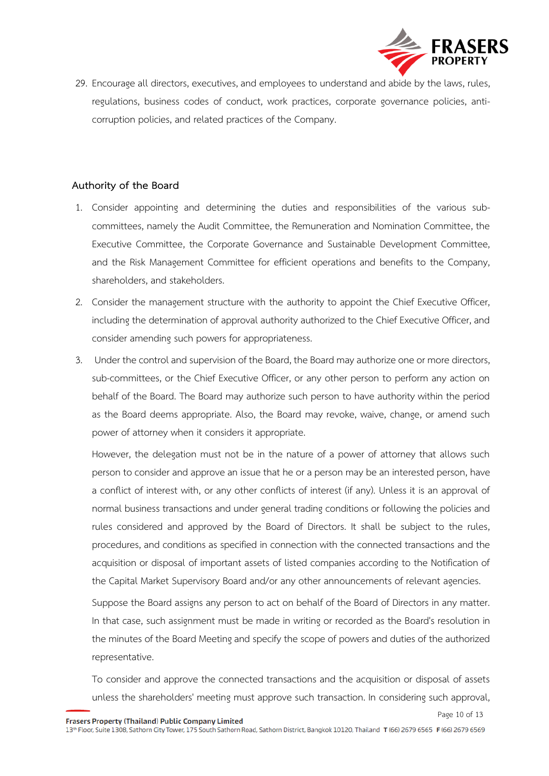

29. Encourage all directors, executives, and employees to understand and abide by the laws, rules, regulations, business codes of conduct, work practices, corporate governance policies, anticorruption policies, and related practices of the Company.

## **Authority of the Board**

- 1. Consider appointing and determining the duties and responsibilities of the various subcommittees, namely the Audit Committee, the Remuneration and Nomination Committee, the Executive Committee, the Corporate Governance and Sustainable Development Committee, and the Risk Management Committee for efficient operations and benefits to the Company, shareholders, and stakeholders.
- 2. Consider the management structure with the authority to appoint the Chief Executive Officer, including the determination of approval authority authorized to the Chief Executive Officer, and consider amending such powers for appropriateness.
- 3. Under the control and supervision of the Board, the Board may authorize one or more directors, sub-committees, or the Chief Executive Officer, or any other person to perform any action on behalf of the Board. The Board may authorize such person to have authority within the period as the Board deems appropriate. Also, the Board may revoke, waive, change, or amend such power of attorney when it considers it appropriate.

However, the delegation must not be in the nature of a power of attorney that allows such person to consider and approve an issue that he or a person may be an interested person, have a conflict of interest with, or any other conflicts of interest (if any). Unless it is an approval of normal business transactions and under general trading conditions or following the policies and rules considered and approved by the Board of Directors. It shall be subject to the rules, procedures, and conditions as specified in connection with the connected transactions and the acquisition or disposal of important assets of listed companies according to the Notification of the Capital Market Supervisory Board and/or any other announcements of relevant agencies.

Suppose the Board assigns any person to act on behalf of the Board of Directors in any matter. In that case, such assignment must be made in writing or recorded as the Board's resolution in the minutes of the Board Meeting and specify the scope of powers and duties of the authorized representative.

To consider and approve the connected transactions and the acquisition or disposal of assets unless the shareholders' meeting must approve such transaction. In considering such approval,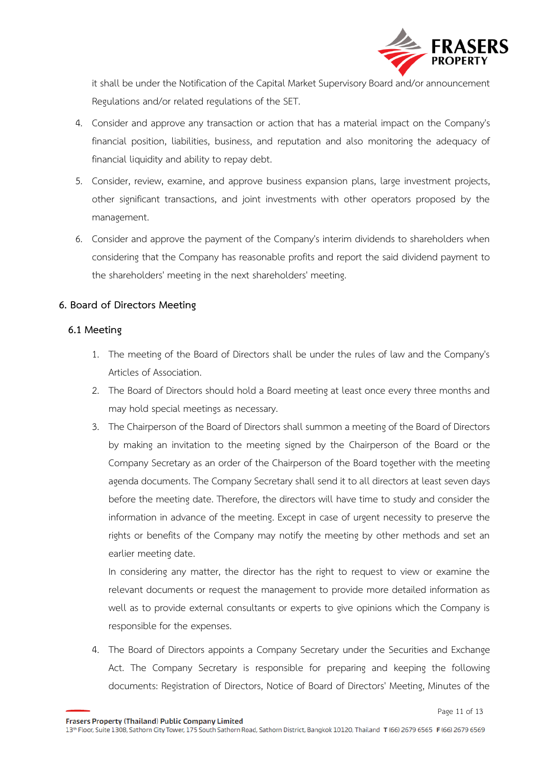

it shall be under the Notification of the Capital Market Supervisory Board and/or announcement Regulations and/or related regulations of the SET.

- 4. Consider and approve any transaction or action that has a material impact on the Company's financial position, liabilities, business, and reputation and also monitoring the adequacy of financial liquidity and ability to repay debt.
- 5. Consider, review, examine, and approve business expansion plans, large investment projects, other significant transactions, and joint investments with other operators proposed by the management.
- 6. Consider and approve the payment of the Company's interim dividends to shareholders when considering that the Company has reasonable profits and report the said dividend payment to the shareholders' meeting in the next shareholders' meeting.

## **6. Board of Directors Meeting**

## **6.1 Meeting**

- 1. The meeting of the Board of Directors shall be under the rules of law and the Company's Articles of Association.
- 2. The Board of Directors should hold a Board meeting at least once every three months and may hold special meetings as necessary.
- 3. The Chairperson of the Board of Directors shall summon a meeting of the Board of Directors by making an invitation to the meeting signed by the Chairperson of the Board or the Company Secretary as an order of the Chairperson of the Board together with the meeting agenda documents. The Company Secretary shall send it to all directors at least seven days before the meeting date. Therefore, the directors will have time to study and consider the information in advance of the meeting. Except in case of urgent necessity to preserve the rights or benefits of the Company may notify the meeting by other methods and set an earlier meeting date.

In considering any matter, the director has the right to request to view or examine the relevant documents or request the management to provide more detailed information as well as to provide external consultants or experts to give opinions which the Company is responsible for the expenses.

4. The Board of Directors appoints a Company Secretary under the Securities and Exchange Act. The Company Secretary is responsible for preparing and keeping the following documents: Registration of Directors, Notice of Board of Directors' Meeting, Minutes of the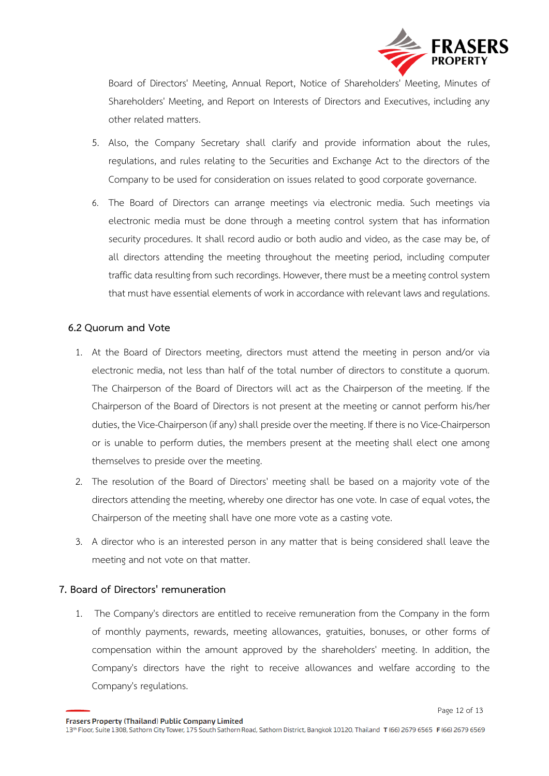

Page 12 of 13

Board of Directors' Meeting, Annual Report, Notice of Shareholders' Meeting, Minutes of Shareholders' Meeting, and Report on Interests of Directors and Executives, including any other related matters.

- 5. Also, the Company Secretary shall clarify and provide information about the rules, regulations, and rules relating to the Securities and Exchange Act to the directors of the Company to be used for consideration on issues related to good corporate governance.
- 6. The Board of Directors can arrange meetings via electronic media. Such meetings via electronic media must be done through a meeting control system that has information security procedures. It shall record audio or both audio and video, as the case may be, of all directors attending the meeting throughout the meeting period, including computer traffic data resulting from such recordings. However, there must be a meeting control system that must have essential elements of work in accordance with relevant laws and regulations.

## **6.2 Quorum and Vote**

- 1. At the Board of Directors meeting, directors must attend the meeting in person and/or via electronic media, not less than half of the total number of directors to constitute a quorum. The Chairperson of the Board of Directors will act as the Chairperson of the meeting. If the Chairperson of the Board of Directors is not present at the meeting or cannot perform his/her duties, the Vice-Chairperson (if any) shall preside over the meeting. If there is no Vice-Chairperson or is unable to perform duties, the members present at the meeting shall elect one among themselves to preside over the meeting.
- 2. The resolution of the Board of Directors' meeting shall be based on a majority vote of the directors attending the meeting, whereby one director has one vote. In case of equal votes, the Chairperson of the meeting shall have one more vote as a casting vote.
- 3. A director who is an interested person in any matter that is being considered shall leave the meeting and not vote on that matter.

## **7. Board of Directors' remuneration**

1. The Company's directors are entitled to receive remuneration from the Company in the form of monthly payments, rewards, meeting allowances, gratuities, bonuses, or other forms of compensation within the amount approved by the shareholders' meeting. In addition, the Company's directors have the right to receive allowances and welfare according to the Company's regulations.